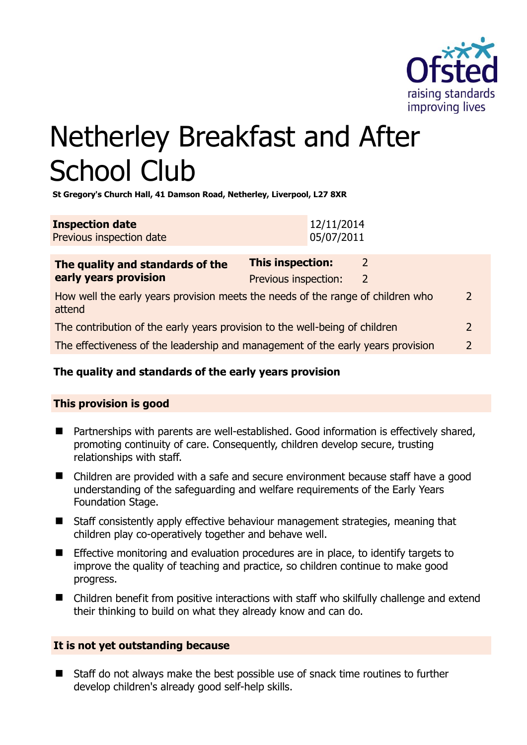

# Netherley Breakfast and After School Club

**St Gregory's Church Hall, 41 Damson Road, Netherley, Liverpool, L27 8XR** 

| <b>Inspection date</b>   | 12/11/2014 |
|--------------------------|------------|
| Previous inspection date | 05/07/2011 |

| The quality and standards of the<br>early years provision                                 | This inspection:     |   |               |
|-------------------------------------------------------------------------------------------|----------------------|---|---------------|
|                                                                                           | Previous inspection: | 2 |               |
| How well the early years provision meets the needs of the range of children who<br>attend |                      |   | $\mathcal{D}$ |
| The contribution of the early years provision to the well-being of children               |                      |   | $\mathcal{P}$ |
| The effectiveness of the leadership and management of the early years provision           |                      |   | <u>ົ</u>      |
|                                                                                           |                      |   |               |

# **The quality and standards of the early years provision**

# **This provision is good**

- Partnerships with parents are well-established. Good information is effectively shared, promoting continuity of care. Consequently, children develop secure, trusting relationships with staff.
- Children are provided with a safe and secure environment because staff have a good understanding of the safeguarding and welfare requirements of the Early Years Foundation Stage.
- Staff consistently apply effective behaviour management strategies, meaning that children play co-operatively together and behave well.
- Effective monitoring and evaluation procedures are in place, to identify targets to improve the quality of teaching and practice, so children continue to make good progress.
- Children benefit from positive interactions with staff who skilfully challenge and extend their thinking to build on what they already know and can do.

# **It is not yet outstanding because**

■ Staff do not always make the best possible use of snack time routines to further develop children's already good self-help skills.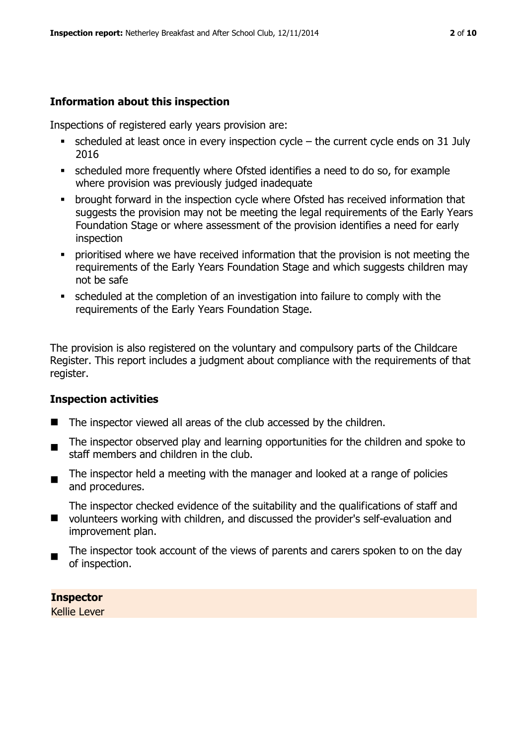# **Information about this inspection**

Inspections of registered early years provision are:

- $\bullet$  scheduled at least once in every inspection cycle the current cycle ends on 31 July 2016
- scheduled more frequently where Ofsted identifies a need to do so, for example where provision was previously judged inadequate
- **•** brought forward in the inspection cycle where Ofsted has received information that suggests the provision may not be meeting the legal requirements of the Early Years Foundation Stage or where assessment of the provision identifies a need for early inspection
- **•** prioritised where we have received information that the provision is not meeting the requirements of the Early Years Foundation Stage and which suggests children may not be safe
- scheduled at the completion of an investigation into failure to comply with the requirements of the Early Years Foundation Stage.

The provision is also registered on the voluntary and compulsory parts of the Childcare Register. This report includes a judgment about compliance with the requirements of that register.

# **Inspection activities**

- The inspector viewed all areas of the club accessed by the children.
- $\blacksquare$ The inspector observed play and learning opportunities for the children and spoke to staff members and children in the club.
- The inspector held a meeting with the manager and looked at a range of policies and procedures.

The inspector checked evidence of the suitability and the qualifications of staff and

- $\blacksquare$ volunteers working with children, and discussed the provider's self-evaluation and improvement plan.
- The inspector took account of the views of parents and carers spoken to on the day of inspection.

**Inspector** 

Kellie Lever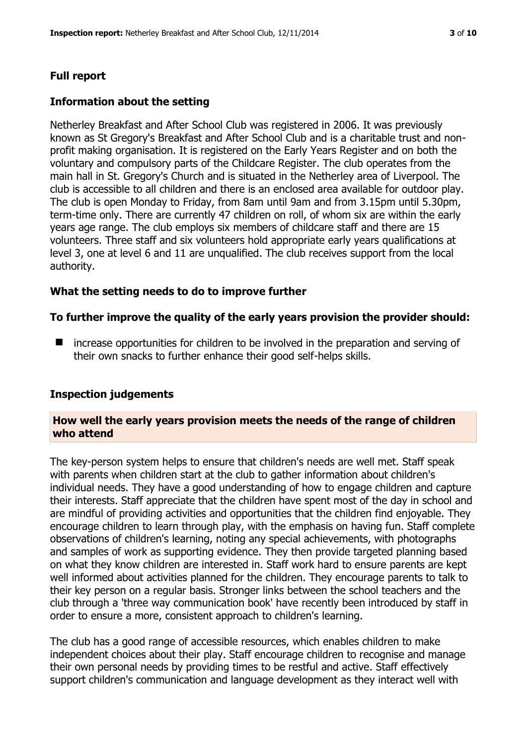# **Full report**

#### **Information about the setting**

Netherley Breakfast and After School Club was registered in 2006. It was previously known as St Gregory's Breakfast and After School Club and is a charitable trust and nonprofit making organisation. It is registered on the Early Years Register and on both the voluntary and compulsory parts of the Childcare Register. The club operates from the main hall in St. Gregory's Church and is situated in the Netherley area of Liverpool. The club is accessible to all children and there is an enclosed area available for outdoor play. The club is open Monday to Friday, from 8am until 9am and from 3.15pm until 5.30pm, term-time only. There are currently 47 children on roll, of whom six are within the early years age range. The club employs six members of childcare staff and there are 15 volunteers. Three staff and six volunteers hold appropriate early years qualifications at level 3, one at level 6 and 11 are unqualified. The club receives support from the local authority.

#### **What the setting needs to do to improve further**

#### **To further improve the quality of the early years provision the provider should:**

■ increase opportunities for children to be involved in the preparation and serving of their own snacks to further enhance their good self-helps skills.

#### **Inspection judgements**

#### **How well the early years provision meets the needs of the range of children who attend**

The key-person system helps to ensure that children's needs are well met. Staff speak with parents when children start at the club to gather information about children's individual needs. They have a good understanding of how to engage children and capture their interests. Staff appreciate that the children have spent most of the day in school and are mindful of providing activities and opportunities that the children find enjoyable. They encourage children to learn through play, with the emphasis on having fun. Staff complete observations of children's learning, noting any special achievements, with photographs and samples of work as supporting evidence. They then provide targeted planning based on what they know children are interested in. Staff work hard to ensure parents are kept well informed about activities planned for the children. They encourage parents to talk to their key person on a regular basis. Stronger links between the school teachers and the club through a 'three way communication book' have recently been introduced by staff in order to ensure a more, consistent approach to children's learning.

The club has a good range of accessible resources, which enables children to make independent choices about their play. Staff encourage children to recognise and manage their own personal needs by providing times to be restful and active. Staff effectively support children's communication and language development as they interact well with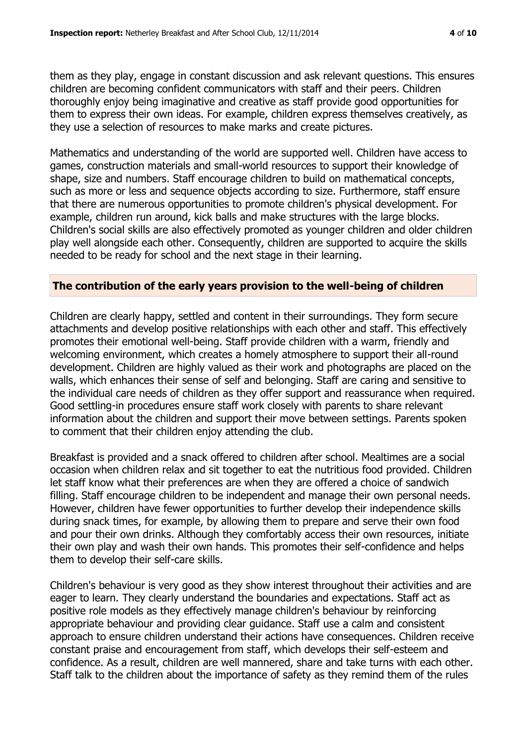them as they play, engage in constant discussion and ask relevant questions. This ensures children are becoming confident communicators with staff and their peers. Children thoroughly enjoy being imaginative and creative as staff provide good opportunities for them to express their own ideas. For example, children express themselves creatively, as they use a selection of resources to make marks and create pictures.

Mathematics and understanding of the world are supported well. Children have access to games, construction materials and small-world resources to support their knowledge of shape, size and numbers. Staff encourage children to build on mathematical concepts, such as more or less and sequence objects according to size. Furthermore, staff ensure that there are numerous opportunities to promote children's physical development. For example, children run around, kick balls and make structures with the large blocks. Children's social skills are also effectively promoted as younger children and older children play well alongside each other. Consequently, children are supported to acquire the skills needed to be ready for school and the next stage in their learning.

#### **The contribution of the early years provision to the well-being of children**

Children are clearly happy, settled and content in their surroundings. They form secure attachments and develop positive relationships with each other and staff. This effectively promotes their emotional well-being. Staff provide children with a warm, friendly and welcoming environment, which creates a homely atmosphere to support their all-round development. Children are highly valued as their work and photographs are placed on the walls, which enhances their sense of self and belonging. Staff are caring and sensitive to the individual care needs of children as they offer support and reassurance when required. Good settling-in procedures ensure staff work closely with parents to share relevant information about the children and support their move between settings. Parents spoken to comment that their children enjoy attending the club.

Breakfast is provided and a snack offered to children after school. Mealtimes are a social occasion when children relax and sit together to eat the nutritious food provided. Children let staff know what their preferences are when they are offered a choice of sandwich filling. Staff encourage children to be independent and manage their own personal needs. However, children have fewer opportunities to further develop their independence skills during snack times, for example, by allowing them to prepare and serve their own food and pour their own drinks. Although they comfortably access their own resources, initiate their own play and wash their own hands. This promotes their self-confidence and helps them to develop their self-care skills.

Children's behaviour is very good as they show interest throughout their activities and are eager to learn. They clearly understand the boundaries and expectations. Staff act as positive role models as they effectively manage children's behaviour by reinforcing appropriate behaviour and providing clear guidance. Staff use a calm and consistent approach to ensure children understand their actions have consequences. Children receive constant praise and encouragement from staff, which develops their self-esteem and confidence. As a result, children are well mannered, share and take turns with each other. Staff talk to the children about the importance of safety as they remind them of the rules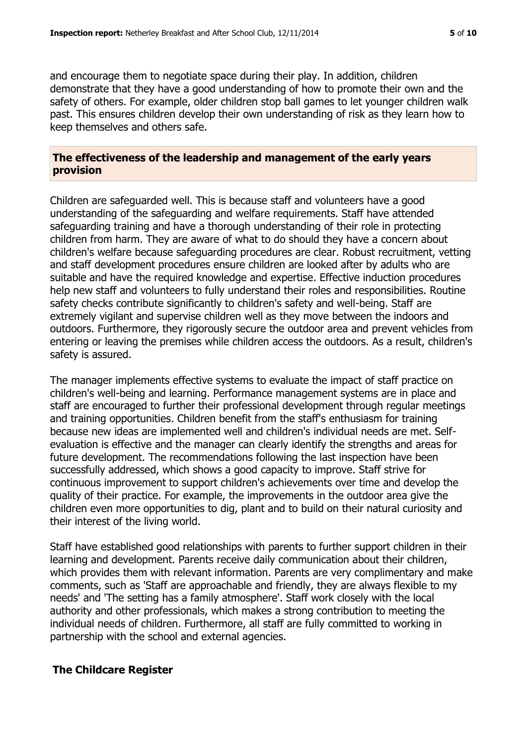and encourage them to negotiate space during their play. In addition, children demonstrate that they have a good understanding of how to promote their own and the safety of others. For example, older children stop ball games to let younger children walk past. This ensures children develop their own understanding of risk as they learn how to keep themselves and others safe.

#### **The effectiveness of the leadership and management of the early years provision**

Children are safeguarded well. This is because staff and volunteers have a good understanding of the safeguarding and welfare requirements. Staff have attended safeguarding training and have a thorough understanding of their role in protecting children from harm. They are aware of what to do should they have a concern about children's welfare because safeguarding procedures are clear. Robust recruitment, vetting and staff development procedures ensure children are looked after by adults who are suitable and have the required knowledge and expertise. Effective induction procedures help new staff and volunteers to fully understand their roles and responsibilities. Routine safety checks contribute significantly to children's safety and well-being. Staff are extremely vigilant and supervise children well as they move between the indoors and outdoors. Furthermore, they rigorously secure the outdoor area and prevent vehicles from entering or leaving the premises while children access the outdoors. As a result, children's safety is assured.

The manager implements effective systems to evaluate the impact of staff practice on children's well-being and learning. Performance management systems are in place and staff are encouraged to further their professional development through regular meetings and training opportunities. Children benefit from the staff's enthusiasm for training because new ideas are implemented well and children's individual needs are met. Selfevaluation is effective and the manager can clearly identify the strengths and areas for future development. The recommendations following the last inspection have been successfully addressed, which shows a good capacity to improve. Staff strive for continuous improvement to support children's achievements over time and develop the quality of their practice. For example, the improvements in the outdoor area give the children even more opportunities to dig, plant and to build on their natural curiosity and their interest of the living world.

Staff have established good relationships with parents to further support children in their learning and development. Parents receive daily communication about their children, which provides them with relevant information. Parents are very complimentary and make comments, such as 'Staff are approachable and friendly, they are always flexible to my needs' and 'The setting has a family atmosphere'. Staff work closely with the local authority and other professionals, which makes a strong contribution to meeting the individual needs of children. Furthermore, all staff are fully committed to working in partnership with the school and external agencies.

#### **The Childcare Register**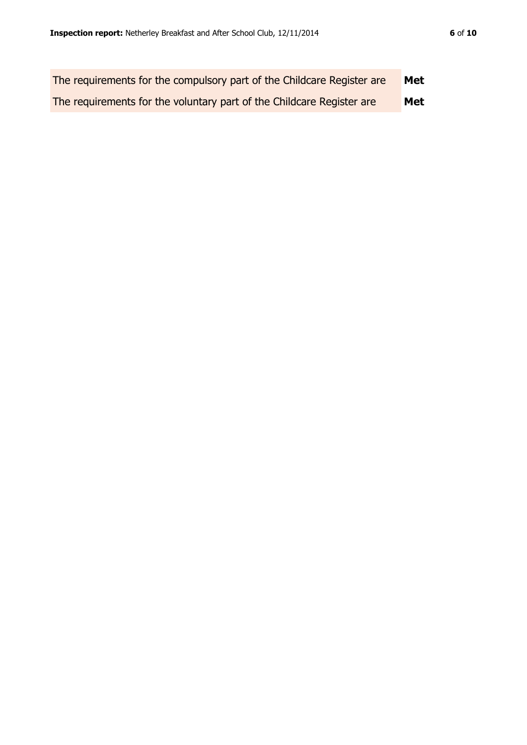| The requirements for the compulsory part of the Childcare Register are | <b>Met</b> |
|------------------------------------------------------------------------|------------|
| The requirements for the voluntary part of the Childcare Register are  | <b>Met</b> |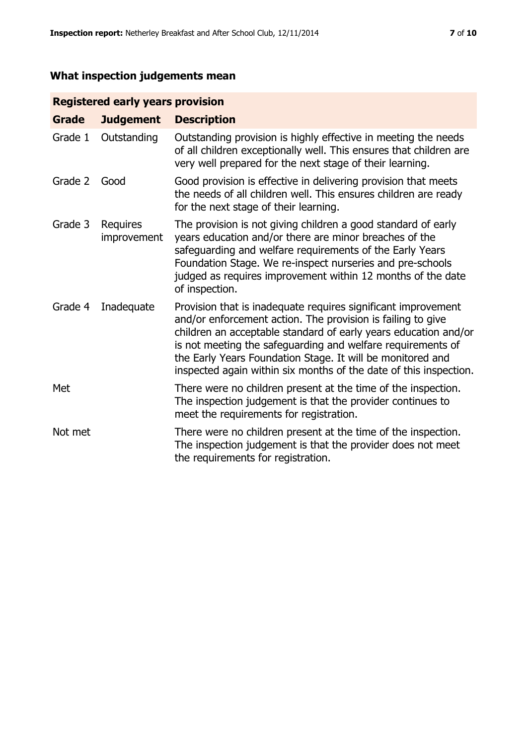# **What inspection judgements mean**

# **Registered early years provision**

| <b>Grade</b> | <b>Judgement</b>               | <b>Description</b>                                                                                                                                                                                                                                                                                                                                                                                |
|--------------|--------------------------------|---------------------------------------------------------------------------------------------------------------------------------------------------------------------------------------------------------------------------------------------------------------------------------------------------------------------------------------------------------------------------------------------------|
| Grade 1      | Outstanding                    | Outstanding provision is highly effective in meeting the needs<br>of all children exceptionally well. This ensures that children are<br>very well prepared for the next stage of their learning.                                                                                                                                                                                                  |
| Grade 2      | Good                           | Good provision is effective in delivering provision that meets<br>the needs of all children well. This ensures children are ready<br>for the next stage of their learning.                                                                                                                                                                                                                        |
| Grade 3      | <b>Requires</b><br>improvement | The provision is not giving children a good standard of early<br>years education and/or there are minor breaches of the<br>safeguarding and welfare requirements of the Early Years<br>Foundation Stage. We re-inspect nurseries and pre-schools<br>judged as requires improvement within 12 months of the date<br>of inspection.                                                                 |
| Grade 4      | Inadequate                     | Provision that is inadequate requires significant improvement<br>and/or enforcement action. The provision is failing to give<br>children an acceptable standard of early years education and/or<br>is not meeting the safeguarding and welfare requirements of<br>the Early Years Foundation Stage. It will be monitored and<br>inspected again within six months of the date of this inspection. |
| Met          |                                | There were no children present at the time of the inspection.<br>The inspection judgement is that the provider continues to<br>meet the requirements for registration.                                                                                                                                                                                                                            |
| Not met      |                                | There were no children present at the time of the inspection.<br>The inspection judgement is that the provider does not meet<br>the requirements for registration.                                                                                                                                                                                                                                |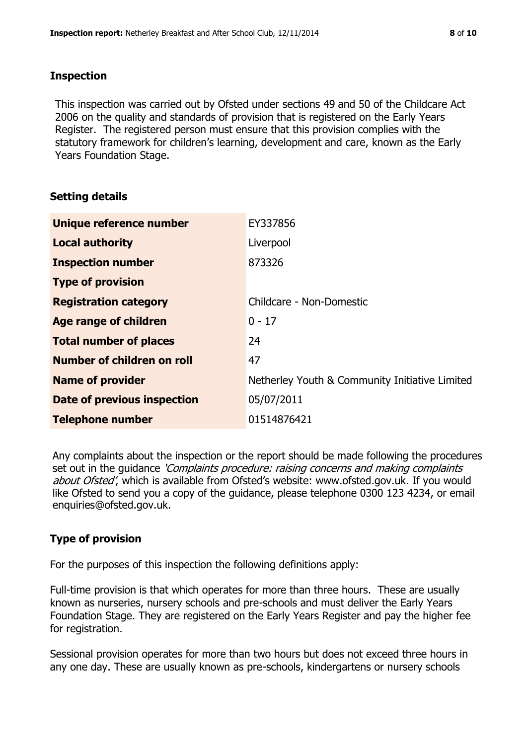#### **Inspection**

This inspection was carried out by Ofsted under sections 49 and 50 of the Childcare Act 2006 on the quality and standards of provision that is registered on the Early Years Register. The registered person must ensure that this provision complies with the statutory framework for children's learning, development and care, known as the Early Years Foundation Stage.

# **Setting details**

| Unique reference number       | EY337856                                       |
|-------------------------------|------------------------------------------------|
| <b>Local authority</b>        | Liverpool                                      |
| <b>Inspection number</b>      | 873326                                         |
| <b>Type of provision</b>      |                                                |
| <b>Registration category</b>  | Childcare - Non-Domestic                       |
| Age range of children         | $0 - 17$                                       |
| <b>Total number of places</b> | 24                                             |
| Number of children on roll    | 47                                             |
| <b>Name of provider</b>       | Netherley Youth & Community Initiative Limited |
| Date of previous inspection   | 05/07/2011                                     |
| <b>Telephone number</b>       | 01514876421                                    |

Any complaints about the inspection or the report should be made following the procedures set out in the guidance *'Complaints procedure: raising concerns and making complaints* about Ofsted', which is available from Ofsted's website: www.ofsted.gov.uk. If you would like Ofsted to send you a copy of the guidance, please telephone 0300 123 4234, or email enquiries@ofsted.gov.uk.

# **Type of provision**

For the purposes of this inspection the following definitions apply:

Full-time provision is that which operates for more than three hours. These are usually known as nurseries, nursery schools and pre-schools and must deliver the Early Years Foundation Stage. They are registered on the Early Years Register and pay the higher fee for registration.

Sessional provision operates for more than two hours but does not exceed three hours in any one day. These are usually known as pre-schools, kindergartens or nursery schools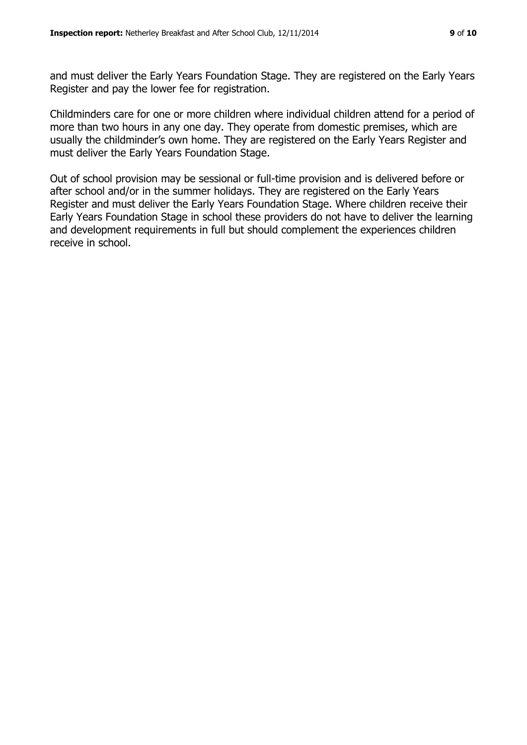and must deliver the Early Years Foundation Stage. They are registered on the Early Years Register and pay the lower fee for registration.

Childminders care for one or more children where individual children attend for a period of more than two hours in any one day. They operate from domestic premises, which are usually the childminder's own home. They are registered on the Early Years Register and must deliver the Early Years Foundation Stage.

Out of school provision may be sessional or full-time provision and is delivered before or after school and/or in the summer holidays. They are registered on the Early Years Register and must deliver the Early Years Foundation Stage. Where children receive their Early Years Foundation Stage in school these providers do not have to deliver the learning and development requirements in full but should complement the experiences children receive in school.